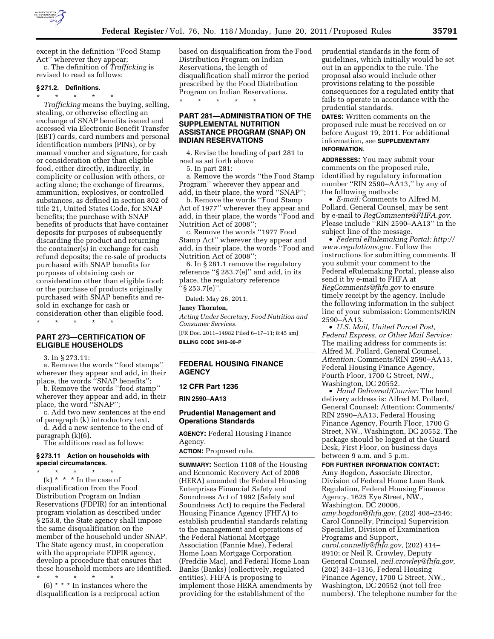

except in the definition ''Food Stamp Act'' wherever they appear;

c. The definition of *Trafficking* is revised to read as follows:

# **§ 271.2. Definitions.**

\* \* \* \* \* *Trafficking* means the buying, selling, stealing, or otherwise effecting an exchange of SNAP benefits issued and accessed via Electronic Benefit Transfer (EBT) cards, card numbers and personal identification numbers (PINs), or by manual voucher and signature, for cash or consideration other than eligible food, either directly, indirectly, in complicity or collusion with others, or acting alone; the exchange of firearms, ammunition, explosives, or controlled substances, as defined in section 802 of title 21, United States Code, for SNAP benefits; the purchase with SNAP benefits of products that have container deposits for purposes of subsequently discarding the product and returning the container(s) in exchange for cash refund deposits; the re-sale of products purchased with SNAP benefits for purposes of obtaining cash or consideration other than eligible food; or the purchase of products originally purchased with SNAP benefits and resold in exchange for cash or consideration other than eligible food. \* \* \* \* \*

## **PART 273—CERTIFICATION OF ELIGIBLE HOUSEHOLDS**

3. In § 273.11:

a. Remove the words ''food stamps'' wherever they appear and add, in their place, the words ''SNAP benefits'';

b. Remove the words ''food stamp'' wherever they appear and add, in their place, the word ''SNAP'';

c. Add two new sentences at the end of paragraph (k) introductory text.

d. Add a new sentence to the end of paragraph (k)(6).

The additions read as follows:

#### **§ 273.11 Action on households with special circumstances.**

\* \* \* \* \*  $(k)$  \* \* \* In the case of

disqualification from the Food Distribution Program on Indian Reservations (FDPIR) for an intentional program violation as described under § 253.8, the State agency shall impose the same disqualification on the member of the household under SNAP. The State agency must, in cooperation with the appropriate FDPIR agency, develop a procedure that ensures that these household members are identified.

\* \* \* \* \* (6) \* \* \* In instances where the disqualification is a reciprocal action based on disqualification from the Food Distribution Program on Indian Reservations, the length of disqualification shall mirror the period prescribed by the Food Distribution Program on Indian Reservations. \* \* \* \* \*

## **PART 281—ADMINISTRATION OF THE SUPPLEMENTAL NUTRITION ASSISTANCE PROGRAM (SNAP) ON INDIAN RESERVATIONS**

4. Revise the heading of part 281 to read as set forth above

5. In part 281:

a. Remove the words ''the Food Stamp Program'' wherever they appear and add, in their place, the word ''SNAP'';

b. Remove the words ''Food Stamp Act of 1977'' wherever they appear and add, in their place, the words ''Food and Nutrition Act of 2008'';

c. Remove the words ''1977 Food Stamp Act'' wherever they appear and add, in their place, the words ''Food and Nutrition Act of 2008'';

6. In § 281.1 remove the regulatory reference ''§ 283.7(e)'' and add, in its place, the regulatory reference ''§ 253.7(e)''.

Dated: May 26, 2011.

### **Janey Thornton,**

*Acting Under Secretary, Food Nutrition and Consumer Services.* 

[FR Doc. 2011–14982 Filed 6–17–11; 8:45 am] **BILLING CODE 3410–30–P** 

# **FEDERAL HOUSING FINANCE AGENCY**

### **12 CFR Part 1236**

**RIN 2590–AA13** 

## **Prudential Management and Operations Standards**

**AGENCY:** Federal Housing Finance Agency.

**ACTION:** Proposed rule.

**SUMMARY:** Section 1108 of the Housing and Economic Recovery Act of 2008 (HERA) amended the Federal Housing Enterprises Financial Safety and Soundness Act of 1992 (Safety and Soundness Act) to require the Federal Housing Finance Agency (FHFA) to establish prudential standards relating to the management and operations of the Federal National Mortgage Association (Fannie Mae), Federal Home Loan Mortgage Corporation (Freddie Mac), and Federal Home Loan Banks (Banks) (collectively, regulated entities). FHFA is proposing to implement those HERA amendments by providing for the establishment of the

prudential standards in the form of guidelines, which initially would be set out in an appendix to the rule. The proposal also would include other provisions relating to the possible consequences for a regulated entity that fails to operate in accordance with the prudential standards.

**DATES:** Written comments on the proposed rule must be received on or before August 19, 2011. For additional information, see **SUPPLEMENTARY INFORMATION**.

**ADDRESSES:** You may submit your comments on the proposed rule, identified by regulatory information number ''RIN 2590–AA13,'' by any of the following methods:

• *E-mail:* Comments to Alfred M. Pollard, General Counsel, may be sent by e-mail to *[RegComments@FHFA.gov.](mailto:RegComments@FHFA.gov)*  Please include ''RIN 2590–AA13'' in the subject line of the message.

• *Federal eRulemaking Portal: [http://](http://www.regulations.gov)  [www.regulations.gov.](http://www.regulations.gov)* Follow the instructions for submitting comments. If you submit your comment to the Federal eRulemaking Portal, please also send it by e-mail to FHFA at *[RegComments@fhfa.gov](mailto:RegComments@fhfa.gov)* to ensure timely receipt by the agency. Include the following information in the subject line of your submission: Comments/RIN 2590–AA13.

• *U.S. Mail, United Parcel Post, Federal Express, or Other Mail Service:*  The mailing address for comments is: Alfred M. Pollard, General Counsel, *Attention:* Comments/RIN 2590–AA13, Federal Housing Finance Agency, Fourth Floor, 1700 G Street, NW., Washington, DC 20552.

• *Hand Delivered/Courier:* The hand delivery address is: Alfred M. Pollard, General Counsel; Attention: Comments/ RIN 2590–AA13, Federal Housing Finance Agency, Fourth Floor, 1700 G Street, NW., Washington, DC 20552. The package should be logged at the Guard Desk, First Floor, on business days between 9 a.m. and 5 p.m.

**FOR FURTHER INFORMATION CONTACT:**  Amy Bogdon, Associate Director, Division of Federal Home Loan Bank Regulation, Federal Housing Finance Agency, 1625 Eye Street, NW., Washington, DC 20006, *[amy.bogdon@fhfa.gov,](mailto:amy.bogdon@fhfa.gov)* (202) 408–2546; Carol Connelly, Principal Supervision Specialist, Division of Examination Programs and Support, *[carol.connelly@fhfa.gov,](mailto:carol.connelly@fhfa.gov)* (202) 414– 8910; or Neil R. Crowley, Deputy General Counsel, *[neil.crowley@fhfa.gov,](mailto:neil.crowley@fhfa.gov)*  (202) 343–1316, Federal Housing Finance Agency, 1700 G Street, NW., Washington, DC 20552 (not toll free numbers). The telephone number for the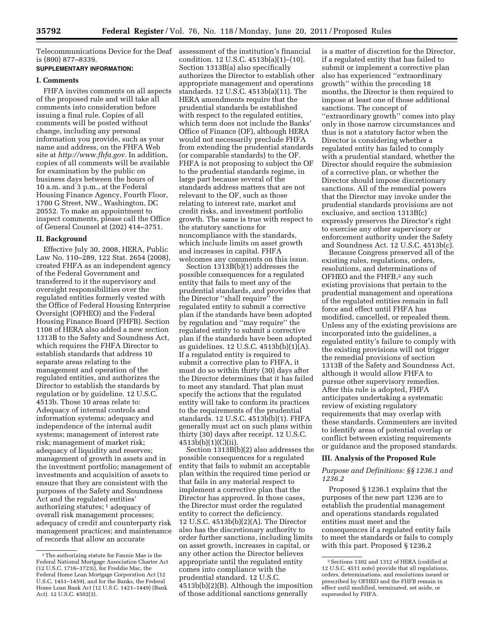is (800) 877–8339.

# **SUPPLEMENTARY INFORMATION:**

## **I. Comments**

FHFA invites comments on all aspects of the proposed rule and will take all comments into consideration before issuing a final rule. Copies of all comments will be posted without change, including any personal information you provide, such as your name and address, on the FHFA Web site at *[http://www.fhfa.gov.](http://www.fhfa.gov)* In addition, copies of all comments will be available for examination by the public on business days between the hours of 10 a.m. and 3 p.m., at the Federal Housing Finance Agency, Fourth Floor, 1700 G Street, NW., Washington, DC 20552. To make an appointment to inspect comments, please call the Office of General Counsel at (202) 414–3751.

### **II. Background**

Effective July 30, 2008, HERA, Public Law No. 110–289, 122 Stat. 2654 (2008), created FHFA as an independent agency of the Federal Government and transferred to it the supervisory and oversight responsibilities over the regulated entities formerly vested with the Office of Federal Housing Enterprise Oversight (OFHEO) and the Federal Housing Finance Board (FHFB). Section 1108 of HERA also added a new section 1313B to the Safety and Soundness Act, which requires the FHFA Director to establish standards that address 10 separate areas relating to the management and operation of the regulated entities, and authorizes the Director to establish the standards by regulation or by guideline. 12 U.S.C. 4513b. Those 10 areas relate to: Adequacy of internal controls and information systems; adequacy and independence of the internal audit systems; management of interest rate risk; management of market risk; adequacy of liquidity and reserves; management of growth in assets and in the investment portfolio; management of investments and acquisition of assets to ensure that they are consistent with the purposes of the Safety and Soundness Act and the regulated entities' authorizing statutes; 1 adequacy of overall risk management processes; adequacy of credit and counterparty risk management practices; and maintenance of records that allow an accurate

Telecommunications Device for the Deaf assessment of the institution's financial condition. 12 U.S.C. 4513b(a)(1)–(10). Section 1313B(a) also specifically authorizes the Director to establish other appropriate management and operations standards. 12 U.S.C. 4513b(a)(11). The HERA amendments require that the prudential standards be established with respect to the regulated entities, which term does not include the Banks' Office of Finance (OF), although HERA would not necessarily preclude FHFA from extending the prudential standards (or comparable standards) to the OF. FHFA is not proposing to subject the OF to the prudential standards regime, in large part because several of the standards address matters that are not relevant to the OF, such as those relating to interest rate, market and credit risks, and investment portfolio growth. The same is true with respect to the statutory sanctions for noncompliance with the standards, which include limits on asset growth and increases in capital. FHFA welcomes any comments on this issue.

Section 1313B(b)(1) addresses the possible consequences for a regulated entity that fails to meet any of the prudential standards, and provides that the Director ''shall require'' the regulated entity to submit a corrective plan if the standards have been adopted by regulation and ''may require'' the regulated entity to submit a corrective plan if the standards have been adopted as guidelines. 12 U.S.C. 4513b(b)(1)(A). If a regulated entity is required to submit a corrective plan to FHFA, it must do so within thirty (30) days after the Director determines that it has failed to meet any standard. That plan must specify the actions that the regulated entity will take to conform its practices to the requirements of the prudential standards. 12 U.S.C. 4513b(b)(1). FHFA generally must act on such plans within thirty (30) days after receipt. 12 U.S.C. 4513b(b)(1)(C)(ii).

Section 1313B(b)(2) also addresses the possible consequences for a regulated entity that fails to submit an acceptable plan within the required time period or that fails in any material respect to implement a corrective plan that the Director has approved. In those cases, the Director must order the regulated entity to correct the deficiency. 12 U.S.C. 4513b(b)(2)(A). The Director also has the discretionary authority to order further sanctions, including limits on asset growth, increases in capital, or any other action the Director believes appropriate until the regulated entity comes into compliance with the prudential standard. 12 U.S.C. 4513b(b)(2)(B). Although the imposition of those additional sanctions generally

is a matter of discretion for the Director, if a regulated entity that has failed to submit or implement a corrective plan also has experienced ''extraordinary growth'' within the preceding 18 months, the Director is then required to impose at least one of those additional sanctions. The concept of ''extraordinary growth'' comes into play only in those narrow circumstances and thus is not a statutory factor when the Director is considering whether a regulated entity has failed to comply with a prudential standard, whether the Director should require the submission of a corrective plan, or whether the Director should impose discretionary sanctions. All of the remedial powers that the Director may invoke under the prudential standards provisions are not exclusive, and section 1313B(c) expressly preserves the Director's right to exercise any other supervisory or enforcement authority under the Safety and Soundness Act. 12 U.S.C. 4513b(c).

Because Congress preserved all of the existing rules, regulations, orders, resolutions, and determinations of OFHEO and the FHFB,2 any such existing provisions that pertain to the prudential management and operations of the regulated entities remain in full force and effect until FHFA has modified, cancelled, or repealed them. Unless any of the existing provisions are incorporated into the guidelines, a regulated entity's failure to comply with the existing provisions will not trigger the remedial provisions of section 1313B of the Safety and Soundness Act, although it would allow FHFA to pursue other supervisory remedies. After this rule is adopted, FHFA anticipates undertaking a systematic review of existing regulatory requirements that may overlap with these standards. Commenters are invited to identify areas of potential overlap or conflict between existing requirements or guidance and the proposed standards.

### **III. Analysis of the Proposed Rule**

## *Purpose and Definitions: §§ 1236.1 and 1236.2*

Proposed § 1236.1 explains that the purposes of the new part 1236 are to establish the prudential management and operations standards regulated entities must meet and the consequences if a regulated entity fails to meet the standards or fails to comply with this part. Proposed § 1236.2

<sup>1</sup>The authorizing statute for Fannie Mae is the Federal National Mortgage Association Charter Act (12 U.S.C. 1716–1723i), for Freddie Mac, the Federal Home Loan Mortgage Corporation Act (12 U.S.C. 1451–1459), and for the Banks, the Federal Home Loan Bank Act (12 U.S.C. 1421–1449) (Bank Act). 12 U.S.C. 4502(3).

<sup>2</sup>Sections 1302 and 1312 of HERA (codified at 12 U.S.C. 4511 note) provide that all regulations, orders, determinations, and resolutions issued or prescribed by OFHEO and the FHFB remain in effect until modified, terminated, set aside, or superseded by FHFA.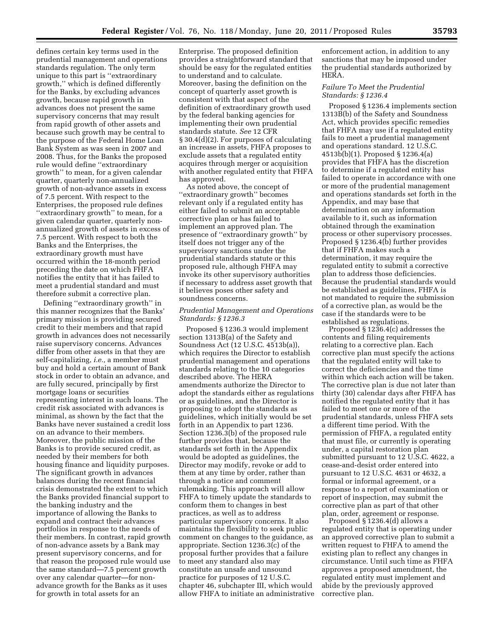defines certain key terms used in the prudential management and operations standards regulation. The only term unique to this part is ''extraordinary growth,'' which is defined differently for the Banks, by excluding advances growth, because rapid growth in advances does not present the same supervisory concerns that may result from rapid growth of other assets and because such growth may be central to the purpose of the Federal Home Loan Bank System as was seen in 2007 and 2008. Thus, for the Banks the proposed rule would define ''extraordinary growth'' to mean, for a given calendar quarter, quarterly non-annualized growth of non-advance assets in excess of 7.5 percent. With respect to the Enterprises, the proposed rule defines ''extraordinary growth'' to mean, for a given calendar quarter, quarterly nonannualized growth of assets in excess of 7.5 percent. With respect to both the Banks and the Enterprises, the extraordinary growth must have occurred within the 18-month period preceding the date on which FHFA notifies the entity that it has failed to meet a prudential standard and must therefore submit a corrective plan.

Defining ''extraordinary growth'' in this manner recognizes that the Banks' primary mission is providing secured credit to their members and that rapid growth in advances does not necessarily raise supervisory concerns. Advances differ from other assets in that they are self-capitalizing, *i.e.,* a member must buy and hold a certain amount of Bank stock in order to obtain an advance, and are fully secured, principally by first mortgage loans or securities representing interest in such loans. The credit risk associated with advances is minimal, as shown by the fact that the Banks have never sustained a credit loss on an advance to their members. Moreover, the public mission of the Banks is to provide secured credit, as needed by their members for both housing finance and liquidity purposes. The significant growth in advances balances during the recent financial crisis demonstrated the extent to which the Banks provided financial support to the banking industry and the importance of allowing the Banks to expand and contract their advances portfolios in response to the needs of their members. In contrast, rapid growth of non-advance assets by a Bank may present supervisory concerns, and for that reason the proposed rule would use the same standard—7.5 percent growth over any calendar quarter—for nonadvance growth for the Banks as it uses for growth in total assets for an

Enterprise. The proposed definition provides a straightforward standard that should be easy for the regulated entities to understand and to calculate. Moreover, basing the definition on the concept of quarterly asset growth is consistent with that aspect of the definition of extraordinary growth used by the federal banking agencies for implementing their own prudential standards statute. *See* 12 CFR § 30.4(d)(2). For purposes of calculating an increase in assets, FHFA proposes to exclude assets that a regulated entity acquires through merger or acquisition with another regulated entity that FHFA has approved.

As noted above, the concept of ''extraordinary growth'' becomes relevant only if a regulated entity has either failed to submit an acceptable corrective plan or has failed to implement an approved plan. The presence of ''extraordinary growth'' by itself does not trigger any of the supervisory sanctions under the prudential standards statute or this proposed rule, although FHFA may invoke its other supervisory authorities if necessary to address asset growth that it believes poses other safety and soundness concerns.

## *Prudential Management and Operations Standards: § 1236.3*

Proposed § 1236.3 would implement section 1313B(a) of the Safety and Soundness Act (12 U.S.C. 4513b(a)), which requires the Director to establish prudential management and operations standards relating to the 10 categories described above. The HERA amendments authorize the Director to adopt the standards either as regulations or as guidelines, and the Director is proposing to adopt the standards as guidelines, which initially would be set forth in an Appendix to part 1236. Section 1236.3(b) of the proposed rule further provides that, because the standards set forth in the Appendix would be adopted as guidelines, the Director may modify, revoke or add to them at any time by order, rather than through a notice and comment rulemaking. This approach will allow FHFA to timely update the standards to conform them to changes in best practices, as well as to address particular supervisory concerns. It also maintains the flexibility to seek public comment on changes to the guidance, as appropriate. Section 1236.3(c) of the proposal further provides that a failure to meet any standard also may constitute an unsafe and unsound practice for purposes of 12 U.S.C. chapter 46, subchapter III, which would allow FHFA to initiate an administrative

enforcement action, in addition to any sanctions that may be imposed under the prudential standards authorized by HERA.

## *Failure To Meet the Prudential Standards: § 1236.4*

Proposed § 1236.4 implements section 1313B(b) of the Safety and Soundness Act, which provides specific remedies that FHFA may use if a regulated entity fails to meet a prudential management and operations standard. 12 U.S.C. 4513b(b)(1). Proposed § 1236.4(a) provides that FHFA has the discretion to determine if a regulated entity has failed to operate in accordance with one or more of the prudential management and operations standards set forth in the Appendix, and may base that determination on any information available to it, such as information obtained through the examination process or other supervisory processes. Proposed § 1236.4(b) further provides that if FHFA makes such a determination, it may require the regulated entity to submit a corrective plan to address those deficiencies. Because the prudential standards would be established as guidelines, FHFA is not mandated to require the submission of a corrective plan, as would be the case if the standards were to be established as regulations.

Proposed § 1236.4(c) addresses the contents and filing requirements relating to a corrective plan. Each corrective plan must specify the actions that the regulated entity will take to correct the deficiencies and the time within which each action will be taken. The corrective plan is due not later than thirty (30) calendar days after FHFA has notified the regulated entity that it has failed to meet one or more of the prudential standards, unless FHFA sets a different time period. With the permission of FHFA, a regulated entity that must file, or currently is operating under, a capital restoration plan submitted pursuant to 12 U.S.C. 4622, a cease-and-desist order entered into pursuant to 12 U.S.C. 4631 or 4632, a formal or informal agreement, or a response to a report of examination or report of inspection, may submit the corrective plan as part of that other plan, order, agreement or response.

Proposed § 1236.4(d) allows a regulated entity that is operating under an approved corrective plan to submit a written request to FHFA to amend the existing plan to reflect any changes in circumstance. Until such time as FHFA approves a proposed amendment, the regulated entity must implement and abide by the previously approved corrective plan.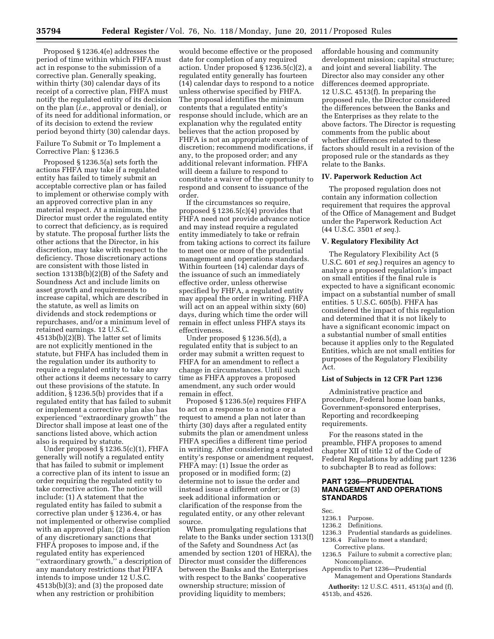Proposed § 1236.4(e) addresses the period of time within which FHFA must act in response to the submission of a corrective plan. Generally speaking, within thirty (30) calendar days of its receipt of a corrective plan, FHFA must notify the regulated entity of its decision on the plan (*i.e.,* approval or denial), or of its need for additional information, or of its decision to extend the review period beyond thirty (30) calendar days.

Failure To Submit or To Implement a Corrective Plan: § 1236.5

Proposed § 1236.5(a) sets forth the actions FHFA may take if a regulated entity has failed to timely submit an acceptable corrective plan or has failed to implement or otherwise comply with an approved corrective plan in any material respect. At a minimum, the Director must order the regulated entity to correct that deficiency, as is required by statute. The proposal further lists the other actions that the Director, in his discretion, may take with respect to the deficiency. Those discretionary actions are consistent with those listed in section 1313B(b)(2)(B) of the Safety and Soundness Act and include limits on asset growth and requirements to increase capital, which are described in the statute, as well as limits on dividends and stock redemptions or repurchases, and/or a minimum level of retained earnings. 12 U.S.C. 4513b(b)(2)(B). The latter set of limits are not explicitly mentioned in the statute, but FHFA has included them in the regulation under its authority to require a regulated entity to take any other actions it deems necessary to carry out these provisions of the statute. In addition, § 1236.5(b) provides that if a regulated entity that has failed to submit or implement a corrective plan also has experienced ''extraordinary growth'' the Director shall impose at least one of the sanctions listed above, which action also is required by statute.

Under proposed § 1236.5(c)(1), FHFA generally will notify a regulated entity that has failed to submit or implement a corrective plan of its intent to issue an order requiring the regulated entity to take corrective action. The notice will include: (1) A statement that the regulated entity has failed to submit a corrective plan under § 1236.4, or has not implemented or otherwise complied with an approved plan; (2) a description of any discretionary sanctions that FHFA proposes to impose and, if the regulated entity has experienced ''extraordinary growth,'' a description of any mandatory restrictions that FHFA intends to impose under 12 U.S.C. 4513b(b)(3); and (3) the proposed date when any restriction or prohibition

would become effective or the proposed date for completion of any required action. Under proposed § 1236.5(c)(2), a regulated entity generally has fourteen (14) calendar days to respond to a notice unless otherwise specified by FHFA. The proposal identifies the minimum contents that a regulated entity's response should include, which are an explanation why the regulated entity believes that the action proposed by FHFA is not an appropriate exercise of discretion; recommend modifications, if any, to the proposed order; and any additional relevant information. FHFA will deem a failure to respond to constitute a waiver of the opportunity to respond and consent to issuance of the order.

If the circumstances so require, proposed § 1236.5(c)(4) provides that FHFA need not provide advance notice and may instead require a regulated entity immediately to take or refrain from taking actions to correct its failure to meet one or more of the prudential management and operations standards. Within fourteen (14) calendar days of the issuance of such an immediately effective order, unless otherwise specified by FHFA, a regulated entity may appeal the order in writing. FHFA will act on an appeal within sixty (60) days, during which time the order will remain in effect unless FHFA stays its effectiveness.

Under proposed § 1236.5(d), a regulated entity that is subject to an order may submit a written request to FHFA for an amendment to reflect a change in circumstances. Until such time as FHFA approves a proposed amendment, any such order would remain in effect.

Proposed § 1236.5(e) requires FHFA to act on a response to a notice or a request to amend a plan not later than thirty (30) days after a regulated entity submits the plan or amendment unless FHFA specifies a different time period in writing. After considering a regulated entity's response or amendment request, FHFA may: (1) Issue the order as proposed or in modified form; (2) determine not to issue the order and instead issue a different order; or (3) seek additional information or clarification of the response from the regulated entity, or any other relevant source.

When promulgating regulations that relate to the Banks under section 1313(f) of the Safety and Soundness Act (as amended by section 1201 of HERA), the Director must consider the differences between the Banks and the Enterprises with respect to the Banks' cooperative ownership structure; mission of providing liquidity to members;

affordable housing and community development mission; capital structure; and joint and several liability. The Director also may consider any other differences deemed appropriate. 12 U.S.C. 4513(f). In preparing the proposed rule, the Director considered the differences between the Banks and the Enterprises as they relate to the above factors. The Director is requesting comments from the public about whether differences related to these factors should result in a revision of the proposed rule or the standards as they relate to the Banks.

## **IV. Paperwork Reduction Act**

The proposed regulation does not contain any information collection requirement that requires the approval of the Office of Management and Budget under the Paperwork Reduction Act (44 U.S.C. 3501 *et seq.*).

### **V. Regulatory Flexibility Act**

The Regulatory Flexibility Act (5 U.S.C. 601 *et seq.*) requires an agency to analyze a proposed regulation's impact on small entities if the final rule is expected to have a significant economic impact on a substantial number of small entities. 5 U.S.C. 605(b). FHFA has considered the impact of this regulation and determined that it is not likely to have a significant economic impact on a substantial number of small entities because it applies only to the Regulated Entities, which are not small entities for purposes of the Regulatory Flexibility Act.

## **List of Subjects in 12 CFR Part 1236**

Administrative practice and procedure, Federal home loan banks, Government-sponsored enterprises, Reporting and recordkeeping requirements.

For the reasons stated in the preamble, FHFA proposes to amend chapter XII of title 12 of the Code of Federal Regulations by adding part 1236 to subchapter B to read as follows:

## **PART 1236—PRUDENTIAL MANAGEMENT AND OPERATIONS STANDARDS**

- Sec.<br>1236.1 Purpose.
- 1236.2 Definitions.
- 1236.3 Prudential standards as guidelines.
- 1236.4 Failure to meet a standard; Corrective plans.
- 1236.5 Failure to submit a corrective plan; Noncompliance.
- Appendix to Part 1236—Prudential
	- Management and Operations Standards
- **Authority:** 12 U.S.C. 4511, 4513(a) and (f), 4513b, and 4526.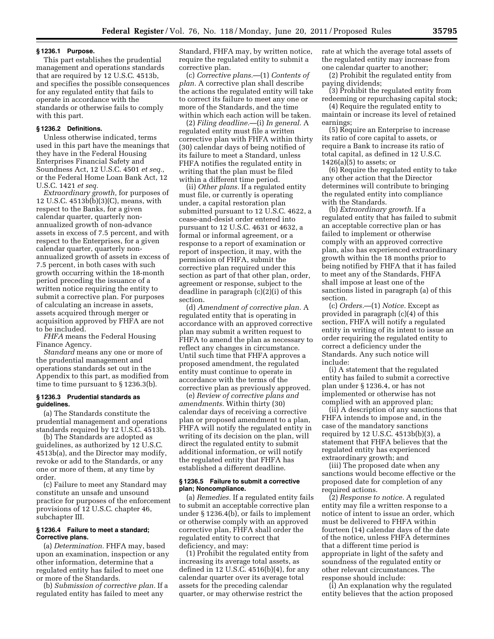#### **§ 1236.1 Purpose.**

This part establishes the prudential management and operations standards that are required by 12 U.S.C. 4513b, and specifies the possible consequences for any regulated entity that fails to operate in accordance with the standards or otherwise fails to comply with this part.

### **§ 1236.2 Definitions.**

Unless otherwise indicated, terms used in this part have the meanings that they have in the Federal Housing Enterprises Financial Safety and Soundness Act, 12 U.S.C. 4501 *et seq.,*  or the Federal Home Loan Bank Act, 12 U.S.C. 1421 *et seq.* 

*Extraordinary growth,* for purposes of 12 U.S.C. 4513b(b)(3)(C), means, with respect to the Banks, for a given calendar quarter, quarterly nonannualized growth of non-advance assets in excess of 7.5 percent, and with respect to the Enterprises, for a given calendar quarter, quarterly nonannualized growth of assets in excess of 7.5 percent, in both cases with such growth occurring within the 18-month period preceding the issuance of a written notice requiring the entity to submit a corrective plan. For purposes of calculating an increase in assets, assets acquired through merger or acquisition approved by FHFA are not to be included.

*FHFA* means the Federal Housing Finance Agency.

*Standard* means any one or more of the prudential management and operations standards set out in the Appendix to this part, as modified from time to time pursuant to § 1236.3(b).

#### **§ 1236.3 Prudential standards as guidelines.**

(a) The Standards constitute the prudential management and operations standards required by 12 U.S.C. 4513b.

(b) The Standards are adopted as guidelines, as authorized by 12 U.S.C. 4513b(a), and the Director may modify, revoke or add to the Standards, or any one or more of them, at any time by order.

(c) Failure to meet any Standard may constitute an unsafe and unsound practice for purposes of the enforcement provisions of 12 U.S.C. chapter 46, subchapter III.

## **§ 1236.4 Failure to meet a standard; Corrective plans.**

(a) *Determination.* FHFA may, based upon an examination, inspection or any other information, determine that a regulated entity has failed to meet one or more of the Standards.

(b) *Submission of corrective plan.* If a regulated entity has failed to meet any

Standard, FHFA may, by written notice, require the regulated entity to submit a corrective plan.

(c) *Corrective plans.*—(1) *Contents of plan.* A corrective plan shall describe the actions the regulated entity will take to correct its failure to meet any one or more of the Standards, and the time within which each action will be taken.

(2) *Filing deadline.*—(i) *In general.* A regulated entity must file a written corrective plan with FHFA within thirty (30) calendar days of being notified of its failure to meet a Standard, unless FHFA notifies the regulated entity in writing that the plan must be filed within a different time period.

(ii) *Other plans.* If a regulated entity must file, or currently is operating under, a capital restoration plan submitted pursuant to 12 U.S.C. 4622, a cease-and-desist order entered into pursuant to 12 U.S.C. 4631 or 4632, a formal or informal agreement, or a response to a report of examination or report of inspection, it may, with the permission of FHFA, submit the corrective plan required under this section as part of that other plan, order, agreement or response, subject to the deadline in paragraph (c)(2)(i) of this section.

(d) *Amendment of corrective plan.* A regulated entity that is operating in accordance with an approved corrective plan may submit a written request to FHFA to amend the plan as necessary to reflect any changes in circumstance. Until such time that FHFA approves a proposed amendment, the regulated entity must continue to operate in accordance with the terms of the corrective plan as previously approved.

(e) *Review of corrective plans and amendments.* Within thirty (30) calendar days of receiving a corrective plan or proposed amendment to a plan, FHFA will notify the regulated entity in writing of its decision on the plan, will direct the regulated entity to submit additional information, or will notify the regulated entity that FHFA has established a different deadline.

### **§ 1236.5 Failure to submit a corrective plan; Noncompliance.**

(a) *Remedies.* If a regulated entity fails to submit an acceptable corrective plan under § 1236.4(b), or fails to implement or otherwise comply with an approved corrective plan, FHFA shall order the regulated entity to correct that deficiency, and may:

(1) Prohibit the regulated entity from increasing its average total assets, as defined in 12 U.S.C. 4516(b)(4), for any calendar quarter over its average total assets for the preceding calendar quarter, or may otherwise restrict the

rate at which the average total assets of the regulated entity may increase from one calendar quarter to another;

(2) Prohibit the regulated entity from paying dividends;

(3) Prohibit the regulated entity from redeeming or repurchasing capital stock;

(4) Require the regulated entity to maintain or increase its level of retained earnings;

(5) Require an Enterprise to increase its ratio of core capital to assets, or require a Bank to increase its ratio of total capital, as defined in 12 U.S.C.  $1426(a)(5)$  to assets; or

(6) Require the regulated entity to take any other action that the Director determines will contribute to bringing the regulated entity into compliance with the Standards.

(b) *Extraordinary growth.* If a regulated entity that has failed to submit an acceptable corrective plan or has failed to implement or otherwise comply with an approved corrective plan, also has experienced extraordinary growth within the 18 months prior to being notified by FHFA that it has failed to meet any of the Standards, FHFA shall impose at least one of the sanctions listed in paragraph (a) of this section.

(c) *Orders.*—(1) *Notice.* Except as provided in paragraph (c)(4) of this section, FHFA will notify a regulated entity in writing of its intent to issue an order requiring the regulated entity to correct a deficiency under the Standards. Any such notice will include:

(i) A statement that the regulated entity has failed to submit a corrective plan under § 1236.4, or has not implemented or otherwise has not complied with an approved plan;

(ii) A description of any sanctions that FHFA intends to impose and, in the case of the mandatory sanctions required by 12 U.S.C. 4513b(b)(3), a statement that FHFA believes that the regulated entity has experienced extraordinary growth; and

(iii) The proposed date when any sanctions would become effective or the proposed date for completion of any required actions.

(2) *Response to notice.* A regulated entity may file a written response to a notice of intent to issue an order, which must be delivered to FHFA within fourteen (14) calendar days of the date of the notice, unless FHFA determines that a different time period is appropriate in light of the safety and soundness of the regulated entity or other relevant circumstances. The response should include:

(i) An explanation why the regulated entity believes that the action proposed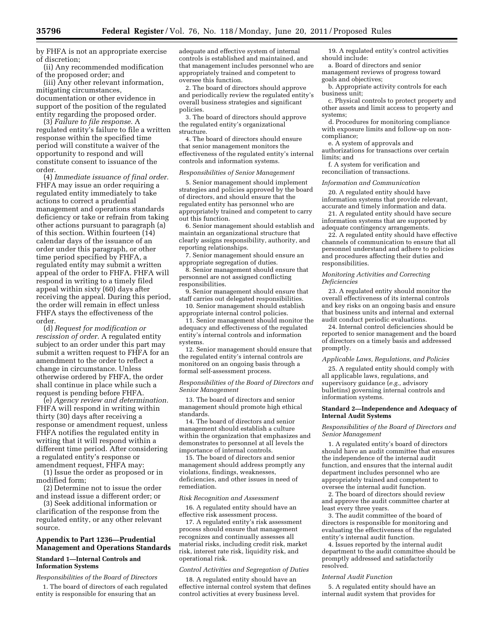by FHFA is not an appropriate exercise of discretion;

(ii) Any recommended modification of the proposed order; and

(iii) Any other relevant information, mitigating circumstances, documentation or other evidence in support of the position of the regulated entity regarding the proposed order.

(3) *Failure to file response.* A regulated entity's failure to file a written response within the specified time period will constitute a waiver of the opportunity to respond and will constitute consent to issuance of the order.

(4) *Immediate issuance of final order.*  FHFA may issue an order requiring a regulated entity immediately to take actions to correct a prudential management and operations standards deficiency or take or refrain from taking other actions pursuant to paragraph (a) of this section. Within fourteen (14) calendar days of the issuance of an order under this paragraph, or other time period specified by FHFA, a regulated entity may submit a written appeal of the order to FHFA. FHFA will respond in writing to a timely filed appeal within sixty (60) days after receiving the appeal. During this period, the order will remain in effect unless FHFA stays the effectiveness of the order.

(d) *Request for modification or rescission of order.* A regulated entity subject to an order under this part may submit a written request to FHFA for an amendment to the order to reflect a change in circumstance. Unless otherwise ordered by FHFA, the order shall continue in place while such a request is pending before FHFA.

(e) *Agency review and determination.*  FHFA will respond in writing within thirty (30) days after receiving a response or amendment request, unless FHFA notifies the regulated entity in writing that it will respond within a different time period. After considering a regulated entity's response or amendment request, FHFA may:

(1) Issue the order as proposed or in modified form;

(2) Determine not to issue the order and instead issue a different order; or

(3) Seek additional information or clarification of the response from the regulated entity, or any other relevant source.

## **Appendix to Part 1236—Prudential Management and Operations Standards**

## **Standard 1—Internal Controls and Information Systems**

## *Responsibilities of the Board of Directors*

1. The board of directors of each regulated entity is responsible for ensuring that an

adequate and effective system of internal controls is established and maintained, and that management includes personnel who are appropriately trained and competent to oversee this function.

2. The board of directors should approve and periodically review the regulated entity's overall business strategies and significant policies.

3. The board of directors should approve the regulated entity's organizational structure.

4. The board of directors should ensure that senior management monitors the effectiveness of the regulated entity's internal controls and information systems.

## *Responsibilities of Senior Management*

5. Senior management should implement strategies and policies approved by the board of directors, and should ensure that the regulated entity has personnel who are appropriately trained and competent to carry out this function.

6. Senior management should establish and maintain an organizational structure that clearly assigns responsibility, authority, and reporting relationships.

7. Senior management should ensure an appropriate segregation of duties.

8. Senior management should ensure that personnel are not assigned conflicting responsibilities.

9. Senior management should ensure that staff carries out delegated responsibilities.

10. Senior management should establish appropriate internal control policies.

11. Senior management should monitor the adequacy and effectiveness of the regulated entity's internal controls and information systems.

12. Senior management should ensure that the regulated entity's internal controls are monitored on an ongoing basis through a formal self-assessment process.

#### *Responsibilities of the Board of Directors and Senior Management*

13. The board of directors and senior management should promote high ethical standards.

14. The board of directors and senior management should establish a culture within the organization that emphasizes and demonstrates to personnel at all levels the importance of internal controls.

15. The board of directors and senior management should address promptly any violations, findings, weaknesses, deficiencies, and other issues in need of remediation.

#### *Risk Recognition and Assessment*

16. A regulated entity should have an effective risk assessment process.

17. A regulated entity's risk assessment process should ensure that management recognizes and continually assesses all material risks, including credit risk, market risk, interest rate risk, liquidity risk, and operational risk.

#### *Control Activities and Segregation of Duties*

18. A regulated entity should have an effective internal control system that defines control activities at every business level.

19. A regulated entity's control activities should include:

a. Board of directors and senior management reviews of progress toward goals and objectives;

b. Appropriate activity controls for each business unit;

c. Physical controls to protect property and other assets and limit access to property and systems;

d. Procedures for monitoring compliance with exposure limits and follow-up on noncompliance;

e. A system of approvals and

authorizations for transactions over certain limits; and

f. A system for verification and reconciliation of transactions.

## *Information and Communication*

20. A regulated entity should have information systems that provide relevant, accurate and timely information and data.

21. A regulated entity should have secure information systems that are supported by adequate contingency arrangements.

22. A regulated entity should have effective channels of communication to ensure that all personnel understand and adhere to policies and procedures affecting their duties and responsibilities.

#### *Monitoring Activities and Correcting Deficiencies*

23. A regulated entity should monitor the overall effectiveness of its internal controls and key risks on an ongoing basis and ensure that business units and internal and external audit conduct periodic evaluations.

24. Internal control deficiencies should be reported to senior management and the board of directors on a timely basis and addressed promptly.

#### *Applicable Laws, Regulations, and Policies*

25. A regulated entity should comply with all applicable laws, regulations, and supervisory guidance (*e.g.,* advisory bulletins) governing internal controls and information systems.

## **Standard 2—Independence and Adequacy of Internal Audit Systems**

*Responsibilities of the Board of Directors and Senior Management* 

1. A regulated entity's board of directors should have an audit committee that ensures the independence of the internal audit function, and ensures that the internal audit department includes personnel who are appropriately trained and competent to oversee the internal audit function.

2. The board of directors should review and approve the audit committee charter at least every three years.

3. The audit committee of the board of directors is responsible for monitoring and evaluating the effectiveness of the regulated entity's internal audit function.

4. Issues reported by the internal audit department to the audit committee should be promptly addressed and satisfactorily resolved.

#### *Internal Audit Function*

5. A regulated entity should have an internal audit system that provides for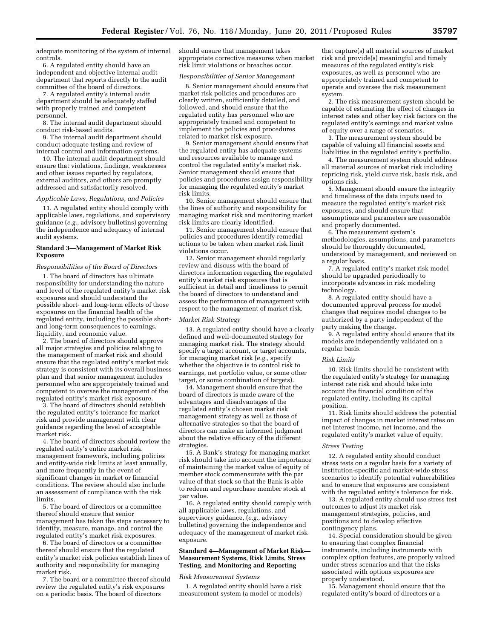adequate monitoring of the system of internal controls.

6. A regulated entity should have an independent and objective internal audit department that reports directly to the audit committee of the board of directors.

7. A regulated entity's internal audit department should be adequately staffed with properly trained and competent personnel.

8. The internal audit department should conduct risk-based audits.

9. The internal audit department should conduct adequate testing and review of internal control and information systems.

10. The internal audit department should ensure that violations, findings, weaknesses and other issues reported by regulators, external auditors, and others are promptly addressed and satisfactorily resolved.

### *Applicable Laws, Regulations, and Policies*

11. A regulated entity should comply with applicable laws, regulations, and supervisory guidance (*e.g.,* advisory bulletins) governing the independence and adequacy of internal audit systems.

### **Standard 3—Management of Market Risk Exposure**

### *Responsibilities of the Board of Directors*

1. The board of directors has ultimate responsibility for understanding the nature and level of the regulated entity's market risk exposures and should understand the possible short- and long-term effects of those exposures on the financial health of the regulated entity, including the possible shortand long-term consequences to earnings, liquidity, and economic value.

2. The board of directors should approve all major strategies and policies relating to the management of market risk and should ensure that the regulated entity's market risk strategy is consistent with its overall business plan and that senior management includes personnel who are appropriately trained and competent to oversee the management of the regulated entity's market risk exposure.

3. The board of directors should establish the regulated entity's tolerance for market risk and provide management with clear guidance regarding the level of acceptable market risk.

4. The board of directors should review the regulated entity's entire market risk management framework, including policies and entity-wide risk limits at least annually, and more frequently in the event of significant changes in market or financial conditions. The review should also include an assessment of compliance with the risk limits.

5. The board of directors or a committee thereof should ensure that senior management has taken the steps necessary to identify, measure, manage, and control the regulated entity's market risk exposures.

6. The board of directors or a committee thereof should ensure that the regulated entity's market risk policies establish lines of authority and responsibility for managing market risk.

7. The board or a committee thereof should review the regulated entity's risk exposures on a periodic basis. The board of directors

should ensure that management takes appropriate corrective measures when market risk limit violations or breaches occur.

#### *Responsibilities of Senior Management*

8. Senior management should ensure that market risk policies and procedures are clearly written, sufficiently detailed, and followed, and should ensure that the regulated entity has personnel who are appropriately trained and competent to implement the policies and procedures related to market risk exposure.

9. Senior management should ensure that the regulated entity has adequate systems and resources available to manage and control the regulated entity's market risk. Senior management should ensure that policies and procedures assign responsibility for managing the regulated entity's market risk limits.

10. Senior management should ensure that the lines of authority and responsibility for managing market risk and monitoring market risk limits are clearly identified.

11. Senior management should ensure that policies and procedures identify remedial actions to be taken when market risk limit violations occur.

12. Senior management should regularly review and discuss with the board of directors information regarding the regulated entity's market risk exposures that is sufficient in detail and timeliness to permit the board of directors to understand and assess the performance of management with respect to the management of market risk.

### *Market Risk Strategy*

13. A regulated entity should have a clearly defined and well-documented strategy for managing market risk. The strategy should specify a target account, or target accounts, for managing market risk (*e.g.,* specify whether the objective is to control risk to earnings, net portfolio value, or some other target, or some combination of targets).

14. Management should ensure that the board of directors is made aware of the advantages and disadvantages of the regulated entity's chosen market risk management strategy as well as those of alternative strategies so that the board of directors can make an informed judgment about the relative efficacy of the different strategies.

15. A Bank's strategy for managing market risk should take into account the importance of maintaining the market value of equity of member stock commensurate with the par value of that stock so that the Bank is able to redeem and repurchase member stock at par value.

16. A regulated entity should comply with all applicable laws, regulations, and supervisory guidance, (*e.g.,* advisory bulletins) governing the independence and adequacy of the management of market risk exposure.

#### **Standard 4—Management of Market Risk— Measurement Systems, Risk Limits, Stress Testing, and Monitoring and Reporting**

#### *Risk Measurement Systems*

1. A regulated entity should have a risk measurement system (a model or models)

that capture(s) all material sources of market risk and provide(s) meaningful and timely measures of the regulated entity's risk exposures, as well as personnel who are appropriately trained and competent to operate and oversee the risk measurement system.

2. The risk measurement system should be capable of estimating the effect of changes in interest rates and other key risk factors on the regulated entity's earnings and market value of equity over a range of scenarios.

3. The measurement system should be capable of valuing all financial assets and liabilities in the regulated entity's portfolio.

4. The measurement system should address all material sources of market risk including repricing risk, yield curve risk, basis risk, and options risk.

5. Management should ensure the integrity and timeliness of the data inputs used to measure the regulated entity's market risk exposures, and should ensure that assumptions and parameters are reasonable and properly documented.

6. The measurement system's methodologies, assumptions, and parameters should be thoroughly documented, understood by management, and reviewed on a regular basis.

7. A regulated entity's market risk model should be upgraded periodically to incorporate advances in risk modeling technology.

8. A regulated entity should have a documented approval process for model changes that requires model changes to be authorized by a party independent of the party making the change.

9. A regulated entity should ensure that its models are independently validated on a regular basis.

#### *Risk Limits*

10. Risk limits should be consistent with the regulated entity's strategy for managing interest rate risk and should take into account the financial condition of the regulated entity, including its capital position.

11. Risk limits should address the potential impact of changes in market interest rates on net interest income, net income, and the regulated entity's market value of equity.

#### *Stress Testing*

12. A regulated entity should conduct stress tests on a regular basis for a variety of institution-specific and market-wide stress scenarios to identify potential vulnerabilities and to ensure that exposures are consistent with the regulated entity's tolerance for risk.

13. A regulated entity should use stress test outcomes to adjust its market risk management strategies, policies, and positions and to develop effective contingency plans.

14. Special consideration should be given to ensuring that complex financial instruments, including instruments with complex option features, are properly valued under stress scenarios and that the risks associated with options exposures are properly understood.

15. Management should ensure that the regulated entity's board of directors or a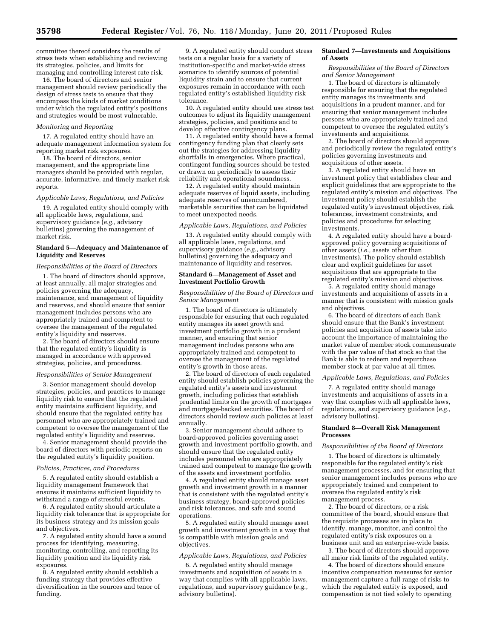committee thereof considers the results of stress tests when establishing and reviewing its strategies, policies, and limits for managing and controlling interest rate risk.

16. The board of directors and senior management should review periodically the design of stress tests to ensure that they encompass the kinds of market conditions under which the regulated entity's positions and strategies would be most vulnerable.

### *Monitoring and Reporting*

17. A regulated entity should have an adequate management information system for reporting market risk exposures.

18. The board of directors, senior management, and the appropriate line managers should be provided with regular, accurate, informative, and timely market risk reports.

### *Applicable Laws, Regulations, and Policies*

19. A regulated entity should comply with all applicable laws, regulations, and supervisory guidance (*e.g.,* advisory bulletins) governing the management of market risk.

### **Standard 5—Adequacy and Maintenance of Liquidity and Reserves**

### *Responsibilities of the Board of Directors*

1. The board of directors should approve, at least annually, all major strategies and policies governing the adequacy, maintenance, and management of liquidity and reserves, and should ensure that senior management includes persons who are appropriately trained and competent to oversee the management of the regulated entity's liquidity and reserves.

2. The board of directors should ensure that the regulated entity's liquidity is managed in accordance with approved strategies, policies, and procedures.

#### *Responsibilities of Senior Management*

3. Senior management should develop strategies, policies, and practices to manage liquidity risk to ensure that the regulated entity maintains sufficient liquidity, and should ensure that the regulated entity has personnel who are appropriately trained and competent to oversee the management of the regulated entity's liquidity and reserves.

4. Senior management should provide the board of directors with periodic reports on the regulated entity's liquidity position.

#### *Policies, Practices, and Procedures*

5. A regulated entity should establish a liquidity management framework that ensures it maintains sufficient liquidity to withstand a range of stressful events.

6. A regulated entity should articulate a liquidity risk tolerance that is appropriate for its business strategy and its mission goals and objectives.

7. A regulated entity should have a sound process for identifying, measuring, monitoring, controlling, and reporting its liquidity position and its liquidity risk exposures.

8. A regulated entity should establish a funding strategy that provides effective diversification in the sources and tenor of funding.

9. A regulated entity should conduct stress tests on a regular basis for a variety of institution-specific and market-wide stress scenarios to identify sources of potential liquidity strain and to ensure that current exposures remain in accordance with each regulated entity's established liquidity risk tolerance.

10. A regulated entity should use stress test outcomes to adjust its liquidity management strategies, policies, and positions and to develop effective contingency plans.

11. A regulated entity should have a formal contingency funding plan that clearly sets out the strategies for addressing liquidity shortfalls in emergencies. Where practical, contingent funding sources should be tested or drawn on periodically to assess their reliability and operational soundness.

12. A regulated entity should maintain adequate reserves of liquid assets, including adequate reserves of unencumbered, marketable securities that can be liquidated to meet unexpected needs.

## *Applicable Laws, Regulations, and Policies*

13. A regulated entity should comply with all applicable laws, regulations, and supervisory guidance (*e.g.,* advisory bulletins) governing the adequacy and maintenance of liquidity and reserves.

### **Standard 6—Management of Asset and Investment Portfolio Growth**

#### *Responsibilities of the Board of Directors and Senior Management*

1. The board of directors is ultimately responsible for ensuring that each regulated entity manages its asset growth and investment portfolio growth in a prudent manner, and ensuring that senior management includes persons who are appropriately trained and competent to oversee the management of the regulated entity's growth in those areas.

2. The board of directors of each regulated entity should establish policies governing the regulated entity's assets and investment growth, including policies that establish prudential limits on the growth of mortgages and mortgage-backed securities. The board of directors should review such policies at least annually.

3. Senior management should adhere to board-approved policies governing asset growth and investment portfolio growth, and should ensure that the regulated entity includes personnel who are appropriately trained and competent to manage the growth of the assets and investment portfolio.

4. A regulated entity should manage asset growth and investment growth in a manner that is consistent with the regulated entity's business strategy, board-approved policies and risk tolerances, and safe and sound operations.

5. A regulated entity should manage asset growth and investment growth in a way that is compatible with mission goals and objectives.

#### *Applicable Laws, Regulations, and Policies*

6. A regulated entity should manage investments and acquisition of assets in a way that complies with all applicable laws, regulations, and supervisory guidance (*e.g.*, advisory bulletins).

### **Standard 7—Investments and Acquisitions of Assets**

*Responsibilities of the Board of Directors and Senior Management* 

1. The board of directors is ultimately responsible for ensuring that the regulated entity manages its investments and acquisitions in a prudent manner, and for ensuring that senior management includes persons who are appropriately trained and competent to oversee the regulated entity's investments and acquisitions.

2. The board of directors should approve and periodically review the regulated entity's policies governing investments and acquisitions of other assets.

3. A regulated entity should have an investment policy that establishes clear and explicit guidelines that are appropriate to the regulated entity's mission and objectives. The investment policy should establish the regulated entity's investment objectives, risk tolerances, investment constraints, and policies and procedures for selecting investments.

4. A regulated entity should have a boardapproved policy governing acquisitions of other assets (*i.e.,* assets other than investments). The policy should establish clear and explicit guidelines for asset acquisitions that are appropriate to the regulated entity's mission and objectives.

5. A regulated entity should manage investments and acquisitions of assets in a manner that is consistent with mission goals and objectives.

6. The board of directors of each Bank should ensure that the Bank's investment policies and acquisition of assets take into account the importance of maintaining the market value of member stock commensurate with the par value of that stock so that the Bank is able to redeem and repurchase member stock at par value at all times.

#### *Applicable Laws, Regulations, and Policies*

7. A regulated entity should manage investments and acquisitions of assets in a way that complies with all applicable laws, regulations, and supervisory guidance (*e.g.,*  advisory bulletins).

#### **Standard 8—Overall Risk Management Processes**

#### *Responsibilities of the Board of Directors*

1. The board of directors is ultimately responsible for the regulated entity's risk management processes, and for ensuring that senior management includes persons who are appropriately trained and competent to oversee the regulated entity's risk management process.

2. The board of directors, or a risk committee of the board, should ensure that the requisite processes are in place to identify, manage, monitor, and control the regulated entity's risk exposures on a business unit and an enterprise-wide basis.

3. The board of directors should approve all major risk limits of the regulated entity.

4. The board of directors should ensure incentive compensation measures for senior management capture a full range of risks to which the regulated entity is exposed, and compensation is not tied solely to operating